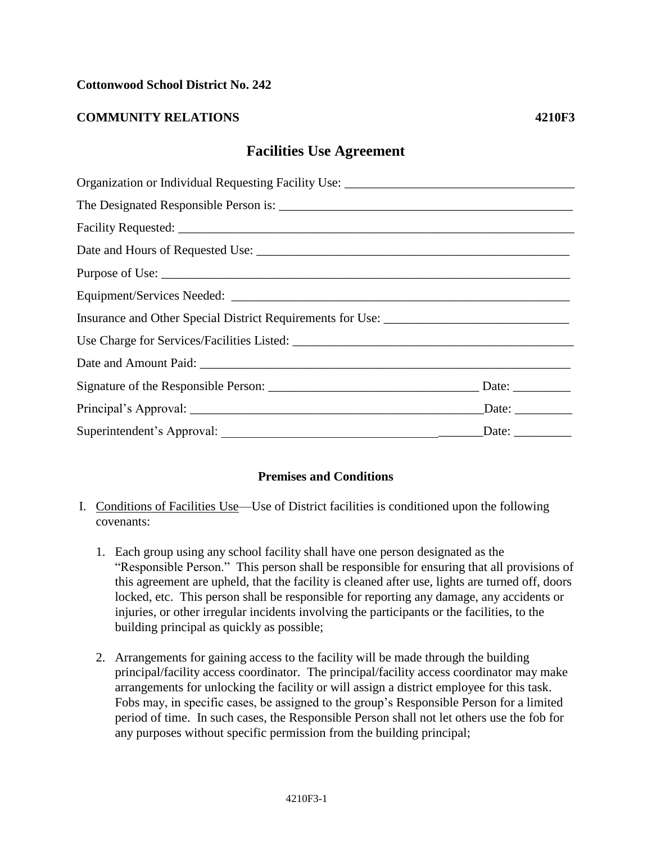### **Cottonwood School District No. 242**

## **COMMUNITY RELATIONS 4210F3**

# **Facilities Use Agreement**

| Organization or Individual Requesting Facility Use: _____________________________ |  |
|-----------------------------------------------------------------------------------|--|
|                                                                                   |  |
|                                                                                   |  |
|                                                                                   |  |
|                                                                                   |  |
|                                                                                   |  |
| Insurance and Other Special District Requirements for Use: ______________________ |  |
|                                                                                   |  |
|                                                                                   |  |
|                                                                                   |  |
|                                                                                   |  |
|                                                                                   |  |

#### **Premises and Conditions**

- I. Conditions of Facilities Use—Use of District facilities is conditioned upon the following covenants:
	- 1. Each group using any school facility shall have one person designated as the "Responsible Person." This person shall be responsible for ensuring that all provisions of this agreement are upheld, that the facility is cleaned after use, lights are turned off, doors locked, etc. This person shall be responsible for reporting any damage, any accidents or injuries, or other irregular incidents involving the participants or the facilities, to the building principal as quickly as possible;
	- 2. Arrangements for gaining access to the facility will be made through the building principal/facility access coordinator. The principal/facility access coordinator may make arrangements for unlocking the facility or will assign a district employee for this task. Fobs may, in specific cases, be assigned to the group's Responsible Person for a limited period of time. In such cases, the Responsible Person shall not let others use the fob for any purposes without specific permission from the building principal;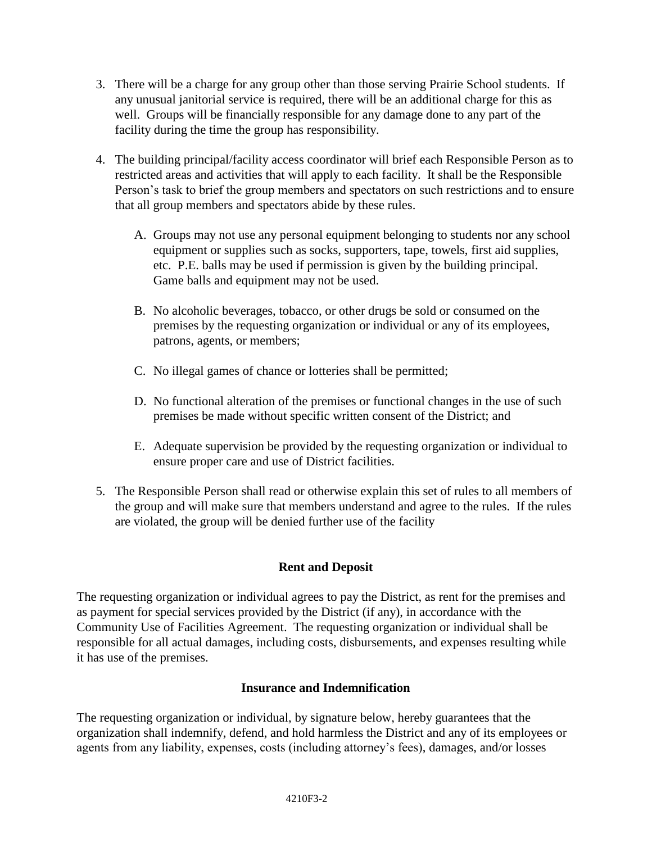- 3. There will be a charge for any group other than those serving Prairie School students. If any unusual janitorial service is required, there will be an additional charge for this as well. Groups will be financially responsible for any damage done to any part of the facility during the time the group has responsibility.
- 4. The building principal/facility access coordinator will brief each Responsible Person as to restricted areas and activities that will apply to each facility. It shall be the Responsible Person's task to brief the group members and spectators on such restrictions and to ensure that all group members and spectators abide by these rules.
	- A. Groups may not use any personal equipment belonging to students nor any school equipment or supplies such as socks, supporters, tape, towels, first aid supplies, etc. P.E. balls may be used if permission is given by the building principal. Game balls and equipment may not be used.
	- B. No alcoholic beverages, tobacco, or other drugs be sold or consumed on the premises by the requesting organization or individual or any of its employees, patrons, agents, or members;
	- C. No illegal games of chance or lotteries shall be permitted;
	- D. No functional alteration of the premises or functional changes in the use of such premises be made without specific written consent of the District; and
	- E. Adequate supervision be provided by the requesting organization or individual to ensure proper care and use of District facilities.
- 5. The Responsible Person shall read or otherwise explain this set of rules to all members of the group and will make sure that members understand and agree to the rules. If the rules are violated, the group will be denied further use of the facility

## **Rent and Deposit**

The requesting organization or individual agrees to pay the District, as rent for the premises and as payment for special services provided by the District (if any), in accordance with the Community Use of Facilities Agreement. The requesting organization or individual shall be responsible for all actual damages, including costs, disbursements, and expenses resulting while it has use of the premises.

## **Insurance and Indemnification**

The requesting organization or individual, by signature below, hereby guarantees that the organization shall indemnify, defend, and hold harmless the District and any of its employees or agents from any liability, expenses, costs (including attorney's fees), damages, and/or losses